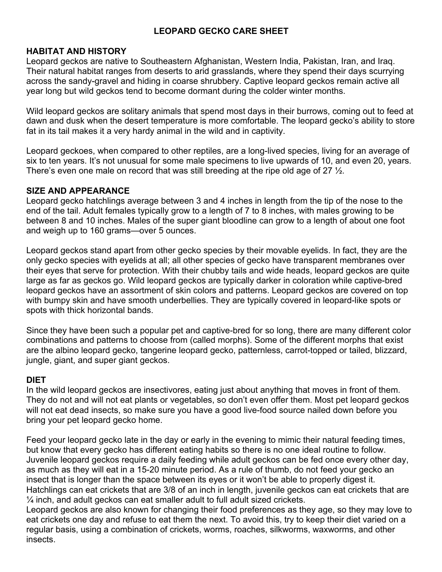# **LEOPARD GECKO CARE SHEET**

# **HABITAT AND HISTORY**

Leopard geckos are native to Southeastern Afghanistan, Western India, Pakistan, Iran, and Iraq. Their natural habitat ranges from deserts to arid grasslands, where they spend their days scurrying across the sandy-gravel and hiding in coarse shrubbery. Captive leopard geckos remain active all year long but wild geckos tend to become dormant during the colder winter months.

Wild leopard geckos are solitary animals that spend most days in their burrows, coming out to feed at dawn and dusk when the desert temperature is more comfortable. The leopard gecko's ability to store fat in its tail makes it a very hardy animal in the wild and in captivity.

Leopard geckoes, when compared to other reptiles, are a long-lived species, living for an average of six to ten years. It's not unusual for some male specimens to live upwards of 10, and even 20, years. There's even one male on record that was still breeding at the ripe old age of 27  $\frac{1}{2}$ .

#### **SIZE AND APPEARANCE**

Leopard gecko hatchlings average between 3 and 4 inches in length from the tip of the nose to the end of the tail. Adult females typically grow to a length of 7 to 8 inches, with males growing to be between 8 and 10 inches. Males of the super giant bloodline can grow to a length of about one foot and weigh up to 160 grams—over 5 ounces.

Leopard geckos stand apart from other gecko species by their movable eyelids. In fact, they are the only gecko species with eyelids at all; all other species of gecko have transparent membranes over their eyes that serve for protection. With their chubby tails and wide heads, leopard geckos are quite large as far as geckos go. Wild leopard geckos are typically darker in coloration while captive-bred leopard geckos have an assortment of skin colors and patterns. Leopard geckos are covered on top with bumpy skin and have smooth underbellies. They are typically covered in leopard-like spots or spots with thick horizontal bands.

Since they have been such a popular pet and captive-bred for so long, there are many different color combinations and patterns to choose from (called morphs). Some of the different morphs that exist are the albino leopard gecko, tangerine leopard gecko, patternless, carrot-topped or tailed, blizzard, jungle, giant, and super giant geckos.

#### **DIET**

In the wild leopard geckos are insectivores, eating just about anything that moves in front of them. They do not and will not eat plants or vegetables, so don't even offer them. Most pet leopard geckos will not eat dead insects, so make sure you have a good live-food source nailed down before you bring your pet leopard gecko home.

Feed your leopard gecko late in the day or early in the evening to mimic their natural feeding times, but know that every gecko has different eating habits so there is no one ideal routine to follow. Juvenile leopard geckos require a daily feeding while adult geckos can be fed once every other day, as much as they will eat in a 15-20 minute period. As a rule of thumb, do not feed your gecko an insect that is longer than the space between its eyes or it won't be able to properly digest it. Hatchlings can eat crickets that are 3/8 of an inch in length, juvenile geckos can eat crickets that are  $\frac{1}{4}$  inch, and adult geckos can eat smaller adult to full adult sized crickets.

Leopard geckos are also known for changing their food preferences as they age, so they may love to eat crickets one day and refuse to eat them the next. To avoid this, try to keep their diet varied on a regular basis, using a combination of crickets, worms, roaches, silkworms, waxworms, and other insects.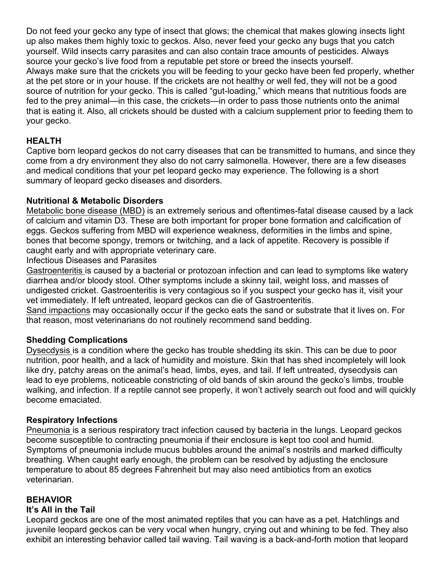Do not feed your gecko any type of insect that glows; the chemical that makes glowing insects light up also makes them highly toxic to geckos. Also, never feed your gecko any bugs that you catch yourself. Wild insects carry parasites and can also contain trace amounts of pesticides. Always source your gecko's live food from a reputable pet store or breed the insects yourself. Always make sure that the crickets you will be feeding to your gecko have been fed properly, whether at the pet store or in your house. If the crickets are not healthy or well fed, they will not be a good source of nutrition for your gecko. This is called "gut-loading," which means that nutritious foods are fed to the prey animal—in this case, the crickets—in order to pass those nutrients onto the animal that is eating it. Also, all crickets should be dusted with a calcium supplement prior to feeding them to your gecko.

# **HEALTH**

Captive born leopard geckos do not carry diseases that can be transmitted to humans, and since they come from a dry environment they also do not carry salmonella. However, there are a few diseases and medical conditions that your pet leopard gecko may experience. The following is a short summary of leopard gecko diseases and disorders.

#### **Nutritional & Metabolic Disorders**

Metabolic bone disease (MBD) is an extremely serious and oftentimes-fatal disease caused by a lack of calcium and vitamin D3. These are both important for proper bone formation and calcification of eggs. Geckos suffering from MBD will experience weakness, deformities in the limbs and spine, bones that become spongy, tremors or twitching, and a lack of appetite. Recovery is possible if caught early and with appropriate veterinary care.

Infectious Diseases and Parasites

Gastroenteritis is caused by a bacterial or protozoan infection and can lead to symptoms like watery diarrhea and/or bloody stool. Other symptoms include a skinny tail, weight loss, and masses of undigested cricket. Gastroenteritis is very contagious so if you suspect your gecko has it, visit your vet immediately. If left untreated, leopard geckos can die of Gastroenteritis.

Sand impactions may occasionally occur if the gecko eats the sand or substrate that it lives on. For that reason, most veterinarians do not routinely recommend sand bedding.

#### **Shedding Complications**

Dysecdysis is a condition where the gecko has trouble shedding its skin. This can be due to poor nutrition, poor health, and a lack of humidity and moisture. Skin that has shed incompletely will look like dry, patchy areas on the animal's head, limbs, eyes, and tail. If left untreated, dysecdysis can lead to eye problems, noticeable constricting of old bands of skin around the gecko's limbs, trouble walking, and infection. If a reptile cannot see properly, it won't actively search out food and will quickly become emaciated.

#### **Respiratory Infections**

Pneumonia is a serious respiratory tract infection caused by bacteria in the lungs. Leopard geckos become susceptible to contracting pneumonia if their enclosure is kept too cool and humid. Symptoms of pneumonia include mucus bubbles around the animal's nostrils and marked difficulty breathing. When caught early enough, the problem can be resolved by adjusting the enclosure temperature to about 85 degrees Fahrenheit but may also need antibiotics from an exotics veterinarian.

#### **BEHAVIOR**

#### **It's All in the Tail**

Leopard geckos are one of the most animated reptiles that you can have as a pet. Hatchlings and juvenile leopard geckos can be very vocal when hungry, crying out and whining to be fed. They also exhibit an interesting behavior called tail waving. Tail waving is a back-and-forth motion that leopard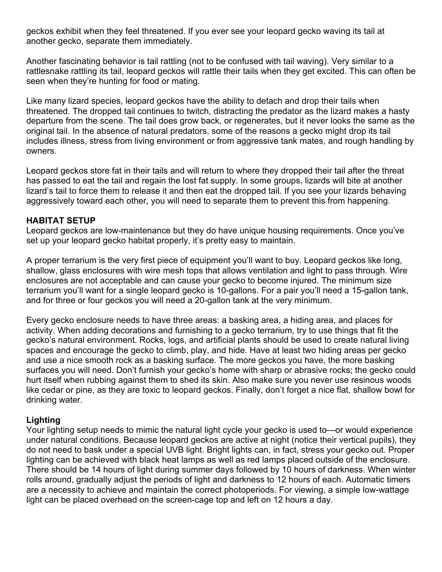geckos exhibit when they feel threatened. If you ever see your leopard gecko waving its tail at another gecko, separate them immediately.

Another fascinating behavior is tail rattling (not to be confused with tail waving). Very similar to a rattlesnake rattling its tail, leopard geckos will rattle their tails when they get excited. This can often be seen when they're hunting for food or mating.

Like many lizard species, leopard geckos have the ability to detach and drop their tails when threatened. The dropped tail continues to twitch, distracting the predator as the lizard makes a hasty departure from the scene. The tail does grow back, or regenerates, but it never looks the same as the original tail. In the absence of natural predators, some of the reasons a gecko might drop its tail includes illness, stress from living environment or from aggressive tank mates, and rough handling by owners.

Leopard geckos store fat in their tails and will return to where they dropped their tail after the threat has passed to eat the tail and regain the lost fat supply. In some groups, lizards will bite at another lizard's tail to force them to release it and then eat the dropped tail. If you see your lizards behaving aggressively toward each other, you will need to separate them to prevent this from happening.

#### **HABITAT SETUP**

Leopard geckos are low-maintenance but they do have unique housing requirements. Once you've set up your leopard gecko habitat properly, it's pretty easy to maintain.

A proper terrarium is the very first piece of equipment you'll want to buy. Leopard geckos like long, shallow, glass enclosures with wire mesh tops that allows ventilation and light to pass through. Wire enclosures are not acceptable and can cause your gecko to become injured. The minimum size terrarium you'll want for a single leopard gecko is 10-gallons. For a pair you'll need a 15-gallon tank, and for three or four geckos you will need a 20-gallon tank at the very minimum.

Every gecko enclosure needs to have three areas: a basking area, a hiding area, and places for activity. When adding decorations and furnishing to a gecko terrarium, try to use things that fit the gecko's natural environment. Rocks, logs, and artificial plants should be used to create natural living spaces and encourage the gecko to climb, play, and hide. Have at least two hiding areas per gecko and use a nice smooth rock as a basking surface. The more geckos you have, the more basking surfaces you will need. Don't furnish your gecko's home with sharp or abrasive rocks; the gecko could hurt itself when rubbing against them to shed its skin. Also make sure you never use resinous woods like cedar or pine, as they are toxic to leopard geckos. Finally, don't forget a nice flat, shallow bowl for drinking water.

# **Lighting**

Your lighting setup needs to mimic the natural light cycle your gecko is used to—or would experience under natural conditions. Because leopard geckos are active at night (notice their vertical pupils), they do not need to bask under a special UVB light. Bright lights can, in fact, stress your gecko out. Proper lighting can be achieved with black heat lamps as well as red lamps placed outside of the enclosure. There should be 14 hours of light during summer days followed by 10 hours of darkness. When winter rolls around, gradually adjust the periods of light and darkness to 12 hours of each. Automatic timers are a necessity to achieve and maintain the correct photoperiods. For viewing, a simple low-wattage light can be placed overhead on the screen-cage top and left on 12 hours a day.